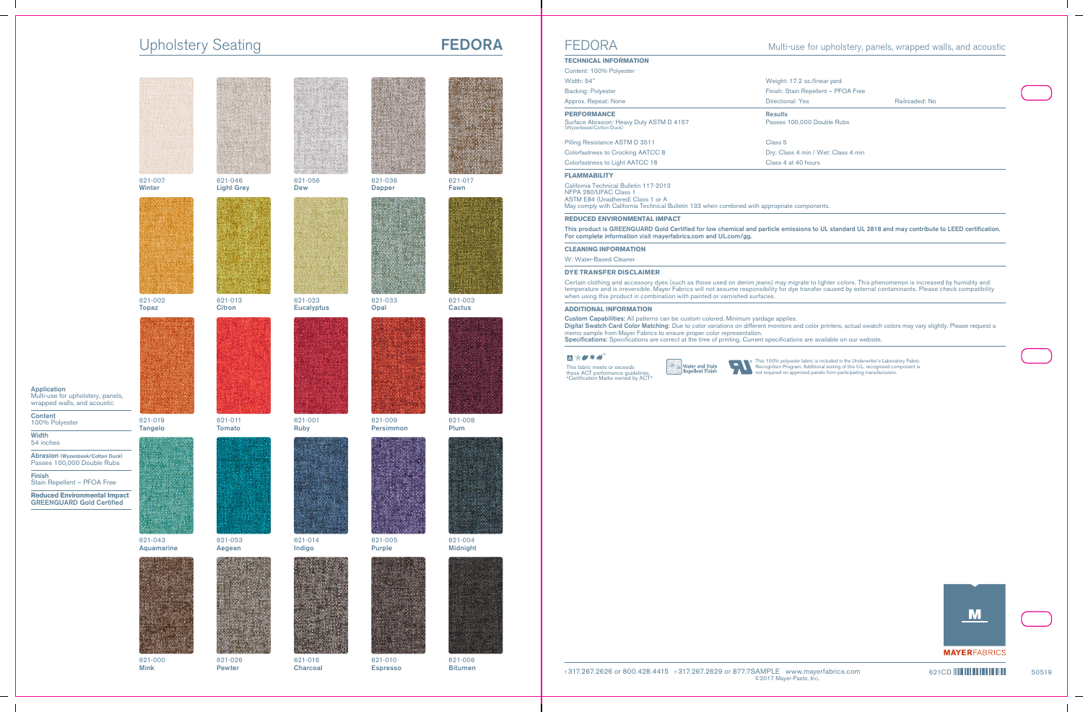# Upholstery Seating **FEDORA**



Application Multi-use for upholstery, panels, wrapped walls, and acoustic

Content 100% Polyester

**Width** 54 inches

Abrasion (Wyzenbeek/Cotton Duck) Passes 100,000 Double Rubs

Finish Stain Repellent – PFOA Free

**Reduced Environmental Impact** GREENGUARD Gold Certified